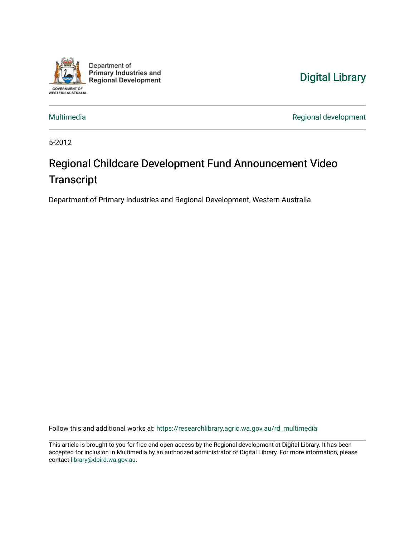

Department of **Primary Industries and Regional Development** 

## [Digital Library](https://researchlibrary.agric.wa.gov.au/)

[Multimedia](https://researchlibrary.agric.wa.gov.au/rd_multimedia) **Multimedia** Regional development

5-2012

# Regional Childcare Development Fund Announcement Video **Transcript**

Department of Primary Industries and Regional Development, Western Australia

Follow this and additional works at: [https://researchlibrary.agric.wa.gov.au/rd\\_multimedia](https://researchlibrary.agric.wa.gov.au/rd_multimedia?utm_source=researchlibrary.agric.wa.gov.au%2Frd_multimedia%2F1&utm_medium=PDF&utm_campaign=PDFCoverPages)

This article is brought to you for free and open access by the Regional development at Digital Library. It has been accepted for inclusion in Multimedia by an authorized administrator of Digital Library. For more information, please contact [library@dpird.wa.gov.au](mailto:library@dpird.wa.gov.au).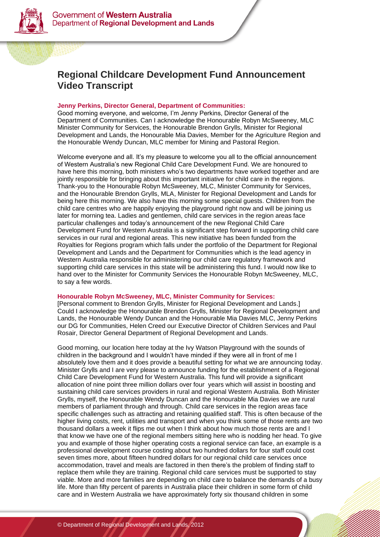



### **Regional Childcare Development Fund Announcement Video Transcript**

#### **Jenny Perkins, Director General, Department of Communities:**

Good morning everyone, and welcome, I'm Jenny Perkins, Director General of the Department of Communities. Can I acknowledge the Honourable Robyn McSweeney, MLC Minister Community for Services, the Honourable Brendon Grylls, Minister for Regional Development and Lands, the Honourable Mia Davies, Member for the Agriculture Region and the Honourable Wendy Duncan, MLC member for Mining and Pastoral Region.

Welcome everyone and all. It's my pleasure to welcome you all to the official announcement of Western Australia's new Regional Child Care Development Fund. We are honoured to have here this morning, both ministers who's two departments have worked together and are jointly responsible for bringing about this important initiative for child care in the regions. Thank-you to the Honourable Robyn McSweeney, MLC, Minister Community for Services, and the Honourable Brendon Grylls, MLA, Minister for Regional Development and Lands for being here this morning. We also have this morning some special guests. Children from the child care centres who are happily enjoying the playground right now and will be joining us later for morning tea. Ladies and gentlemen, child care services in the region areas face particular challenges and today's announcement of the new Regional Child Care Development Fund for Western Australia is a significant step forward in supporting child care services in our rural and regional areas. This new initiative has been funded from the Royalties for Regions program which falls under the portfolio of the Department for Regional Development and Lands and the Department for Communities which is the lead agency in Western Australia responsible for administering our child care regulatory framework and supporting child care services in this state will be administering this fund. I would now like to hand over to the Minister for Community Services the Honourable Robyn McSweeney, MLC, to say a few words.

#### **Honourable Robyn McSweeney, MLC, Minister Community for Services:**

[Personal comment to Brendon Grylls, Minister for Regional Development and Lands.] Could I acknowledge the Honourable Brendon Grylls, Minister for Regional Development and Lands, the Honourable Wendy Duncan and the Honourable Mia Davies MLC, Jenny Perkins our DG for Communities, Helen Creed our Executive Director of Children Services and Paul Rosair, Director General Department of Regional Development and Lands.

Good morning, our location here today at the Ivy Watson Playground with the sounds of children in the background and I wouldn't have minded if they were all in front of me I absolutely love them and it does provide a beautiful setting for what we are announcing today. Minister Grylls and I are very please to announce funding for the establishment of a Regional Child Care Development Fund for Western Australia. This fund will provide a significant allocation of nine point three million dollars over four years which will assist in boosting and sustaining child care services providers in rural and regional Western Australia. Both Minister Grylls, myself, the Honourable Wendy Duncan and the Honourable Mia Davies we are rural members of parliament through and through. Child care services in the region areas face specific challenges such as attracting and retaining qualified staff. This is often because of the higher living costs, rent, utilities and transport and when you think some of those rents are two thousand dollars a week it flips me out when I think about how much those rents are and I that know we have one of the regional members sitting here who is nodding her head. To give you and example of those higher operating costs a regional service can face, an example is a professional development course costing about two hundred dollars for four staff could cost seven times more, about fifteen hundred dollars for our regional child care services once accommodation, travel and meals are factored in then there's the problem of finding staff to replace them while they are training. Regional child care services must be supported to stay viable. More and more families are depending on child care to balance the demands of a busy life. More than fifty percent of parents in Australia place their children in some form of child care and in Western Australia we have approximately forty six thousand children in some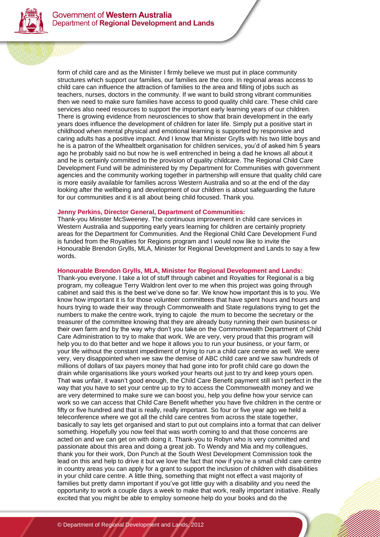

form of child care and as the Minister I firmly believe we must put in place community structures which support our families, our families are the core. In regional areas access to child care can influence the attraction of families to the area and filling of jobs such as teachers, nurses, doctors in the community. If we want to build strong vibrant communities then we need to make sure families have access to good quality child care. These child care services also need resources to support the important early learning years of our children. There is growing evidence from neurosciences to show that brain development in the early years does influence the development of children for later life. Simply put a positive start in childhood when mental physical and emotional learning is supported by responsive and caring adults has a positive impact. And I know that Minister Grylls with his two little boys and he is a patron of the Whealtbelt organisation for children services, you'd of asked him 5 years ago he probably said no but now he is well entrenched in being a dad he knows all about it and he is certainly committed to the provision of quality childcare. The Regional Child Care Development Fund will be administered by my Department for Communities with government agencies and the community working together in partnership will ensure that quality child care is more easily available for families across Western Australia and so at the end of the day looking after the wellbeing and development of our children is about safeguarding the future for our communities and it is all about being child focused. Thank you.

#### **Jenny Perkins, Director General, Department of Communities:**

Thank-you Minister McSweeney. The continuous improvement in child care services in Western Australia and supporting early years learning for children are certainly propriety areas for the Department for Communities. And the Regional Child Care Development Fund is funded from the Royalties for Regions program and I would now like to invite the Honourable Brendon Grylls, MLA, Minister for Regional Development and Lands to say a few words.

#### **Honourable Brendon Grylls, MLA, Minister for Regional Development and Lands:**

Thank-you everyone. I take a lot of stuff through cabinet and Royalties for Regional is a big program, my colleague Terry Waldron lent over to me when this project was going through cabinet and said this is the best we've done so far. We know how important this is to you. We know how important it is for those volunteer committees that have spent hours and hours and hours trying to wade their way through Commonwealth and State regulations trying to get the numbers to make the centre work, trying to cajole the mum to become the secretary or the treasurer of the committee knowing that they are already busy running their own business or their own farm and by the way why don't you take on the Commonwealth Department of Child Care Administration to try to make that work. We are very, very proud that this program will help you to do that better and we hope it allows you to run your business, or your farm, or your life without the constant impediment of trying to run a child care centre as well. We were very, very disappointed when we saw the demise of ABC child care and we saw hundreds of millions of dollars of tax payers money that had gone into for profit child care go down the drain while organisations like yours worked your hearts out just to try and keep yours open. That was unfair, it wasn't good enough, the Child Care Benefit payment still isn't perfect in the way that you have to set your centre up to try to access the Commonwealth money and we are very determined to make sure we can boost you, help you define how your service can work so we can access that Child Care Benefit whether you have five children in the centre or fifty or five hundred and that is really, really important. So four or five year ago we held a teleconference where we got all the child care centres from across the state together, basically to say lets get organised and start to put out complains into a format that can deliver something. Hopefully you now feel that was worth coming to and that those concerns are acted on and we can get on with doing it. Thank-you to Robyn who is very committed and passionate about this area and doing a great job. To Wendy and Mia and my colleagues, thank you for their work, Don Punch at the South West Development Commission took the lead on this and help to drive it but we love the fact that now if you're a small child care centre in country areas you can apply for a grant to support the inclusion of children with disabilities in your child care centre. A little thing, something that might not effect a vast majority of families but pretty damn important if you've got little guy with a disability and you need the opportunity to work a couple days a week to make that work, really important initiative. Really excited that you might be able to employ someone help do your books and do the